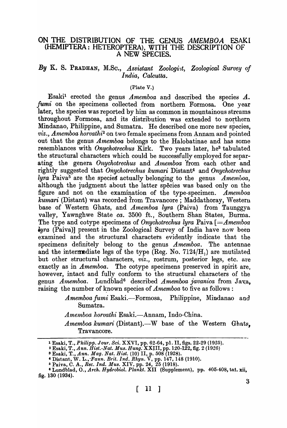## ON THE DISTRIBUTION OF THE GENUS AMEMBOA ESAKI (HEMIPTERA: HETEROPTERA), WITH THE DESCRIPTION OF A NEW SPECIES.

## By K. S. PRADHAN, M.Sc., Assistant Zoologist, Zoological Survey of *India, Oalcutta.*

### (Plate V.)

Esakj1 erected the genus *Amemboa* and described the species *A..*  fumi on the specimens collected from northern Formosa. One year later, the species was reported by him as common in mountainous streams throughout Formosa, and its distribution was extended to northern Mindanao, Philippine, and Sumatra. He described one more new species, viz., Amemboa horvathi<sup>2</sup> on two female specimens from Annam and pointed out that the genus *Amemboa* belongs to the Halobatinae and has some resemblances with *Onychotrechus* Kirk. Two years later, he3 tabulated the structural characters which could be successfully employed for separating the genera *Onychotrechus* and *A1nemboa* 'from each other and rightly suggested that *Onychotrechus kurnari* Distant4 and *Onychotrechus lyra* Paiva5 are the specieg actually belonging to the genus *Amemuoa,*  although the judgment about the latter species was based only on the figure and not on the examination of the type-specimen. *Amemboa kumari* (Distant) was recorded from Travancore; Maddathoray, Western base of Western Ghats, and *Amemboa lyra* (Paiva) from Taunggya valley, Yawnghwe State *ca.* 3500 ft., Southern Shan States, Burma. The type and cotype specimens of *Onychotrechus lyra* Paiva  $\mathcal{F} = \mathcal{F}$ *Amemboa iy-ra* (Paiva)] present in the Zoological Survey of India have now been examined and the structural characters evidently indicate that the specimens definitely belong to the genus *Amemboa.* The antennae and the intermediate legs of the type (Reg. No.  $7124/H<sub>1</sub>$ ) are mutilated but other structural characters, *viz.,* rostrum, posterior legs, etc. are exactly as in *Amemboa.* The cotype specimens preserved in spirit are, however, intact and fully conform to the structural characters of the genus *Amemboa.* Lundblad<sup>6</sup> described *Amemboa javanica* from Java. raising the number of known species of  $A$ memboa to five as follows:

> Amemboa fumi Esaki.---Formosa, Philippine, Mindanao and Sumatra.

*Amemboa horvathi* Esaki.-Annam, Indo-China.

*Amemboa kumari (Distant).*-W base of the Western Ghats. Travancore.

<sup>1</sup>Esaki, T., *Philipp. JOUl'. Sci.* XXVI, pp. 62.64, pI. II, figs. 22-29 (1925).

<sup>2</sup> Esaki, T., *Ann. Hist.-Nat. Mus. Hung:* XXJII, pp. 120-122, fig. 2 (1926)

<sup>3</sup> Esaki, T., *Ann. Mag. Nat. Hist.* (10) II, p. 508 (1928).

<sup>&#</sup>x27;Distant, W. *L.,'Faun. Brit. Ind. Rhyn.* V, pp. 147, 148 (1910).

<sup>6</sup> Paiva, C. A., *Ree. Ind. Mus.* XIV~ pp. 24, 25 (1918).

<sup>&</sup>lt;sup>6</sup> Lundblad, O., *Arch. Hydrobiol. Plankt.* XII (Supplement), pp. 405-408, tat. xii, fig. 130 (1934).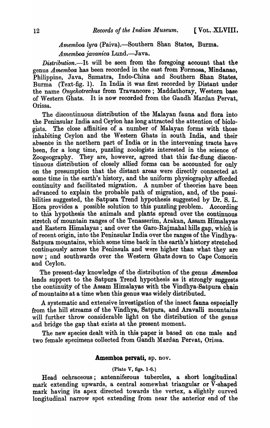# Amemboa lyra (Paiva).—Southern Shan States, Burma. *Amemboajavanica* Lund.-Java.

*Distribution.-It* will be seen from the foregoing account that the genus *Amemboa* has been recorded in the east from Formosa, Mindanao, Philippine, Java, Sumatra, Indo-China and Southern Shan States, Burma (Text-fig. 1). In India it was first recorded by Distant under the name *Onychotrechus* from Travancore; Maddathoray, Western base of Western Ghats. It is now recorded from the Gandh Mardan Pervat, Orissa.

The discontinuous distribution of the Malayan fauna and flora into the Peninsular India and Ceylon has long attracted the attention of biologists. The close affinities of a number of Malayan forms with those inhabiting Ceylon and the Western Ghats in south India, and their absence in the northern part of India or in the intervening tracts have been, for a long time, puzzling zoologists interested in the science of Zoogeography. They are, however, agreed that this far-flung discontinuous distribution of closely allied forms can be accounted for only on the presumption that the distant areas were directly connected at some time in the earth's history, and the uniform physiography afforded continuity and facilitated migration. A number of theories have been advanced to explain the probable path of migration, and, of the possibilities suggested, the Satpura Trend hypothesis suggested by Dr. S. L. Hora provides a possible solution to this puzzling problem. According to this hypothesis the animals and plants spread over the continuous stretch of mountain ranges of the Tenasserim, Arakan, Assam Himalayas and Eastern Himalayas; and over the Garo-Rajmahal hills gap, which is of recent origin, into the Peninsular India over the ranges of the Vindhya-Satpura mountains, which some time back in the earth's history stretched continuously across the Peninsula and were higher than what they are now; nnd southwards over the Western Ghats down to Cape Comorin and Ceylon.

The present-day knowledge of the distribution of the genus *Amemboa*  lends support to the Satpura Trend hypothesis as it strongly suggests the continuity of the Assam. Himalayas with the Vindhya-Satpura chain of mountaihs at a time when this genus was widely distributed.

A systematic and extensive investigation of the insect fauna especially from the hill streams of the Vindhya, Satpura, and Aravalli mountains will further throw considerable light on the distribution of the genus and bridge the gap that exists at the present moment.

The new species dealt with in this paper is based on one male and two female specimens collected from Gandh Mardan Pervat, Orissa.

### Amemboa pervati, ap. nov.

#### (Plate V, figs. I-6.)

Head ochraceous; antenniferous tubercles, a short longitudinal mark extending upwards, a central somewhat triangular or V~shaped mark having its apex directed towards the vertex, a slightly curved longitudinal narrow spot extending from near the anterior end of the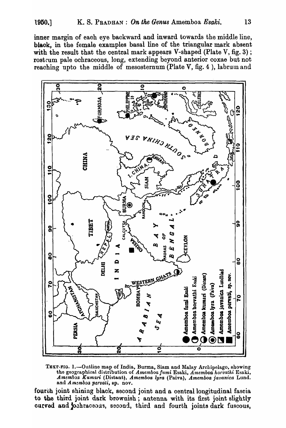inner margin of eaoh eye backward and inward towards the middle line, blaok, in the female examples basal line of the triangular mark absent with the result that the central mark appears V-shaped (Plate V, fig. 3); rostrum pale ochraceous, long, extending beyond anterior coxae but not reaching upto the middle of mesosternum (Plate V, fig. 4), labrum and



TEXT-FlG. I.-Outline map of India, Burma, Siam and Malay Archipelago, showing the geographi\1al dhtribution of *Amemboa* /umi Esaki, *A-memboa hotvathi* Esaki,  $A$ memboa Kumari (Distant), *Amemboa lyra* (Paiva), *Amemboa javanica* Lund. and *Amemboa pervali*, sp. nov.

fourth joint shining black, second joint and a central longitudinal fascia to the third joint dark brownish; antenna with its first joint slightly curved and jochraceous, second, third and fourth joints dark fuscous,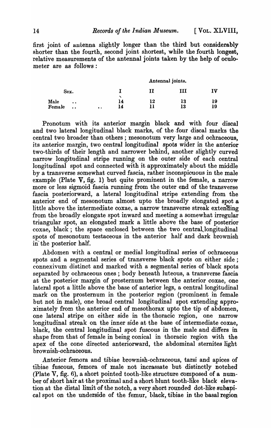first joint of antenna slightly longer than the third but considerably shorter than the fourth, second joint shortest, while the fourth longest, relative measurements of the antennal joints taken by the help of oculometer are as follows :

|                            |           |    | Antennal joints. |     |    |
|----------------------------|-----------|----|------------------|-----|----|
| Sex.                       |           |    | п                | TTI | IV |
| Male<br>$\bullet$          |           | 14 | 12               | 13  | 19 |
| Female<br>$\bullet\bullet$ | $\bullet$ | 14 |                  | 13  | 19 |

Pronotum with its anterior margin black and with four discal and two lateral longitudinal black marks, of the four discal marks the central two broader than others ; mesonotum very large and ochraceous, its anterior margin, two central longitudinal spots wider in the anterior two-thirds of their length and narrower behind, another slightly curved narrow longitudinal stripe running on the outer side of each central longitudinal spot and connected with it approximately about the middle by a transverse somewhat curved fascia, rather inconspicuous in the male example (Plate V, fig. 1) but quite prominent in the female, a narrow more or less sigmoid fascia running from the outer end of the transverse fascia posteriorward, a lateral longitudinal stripe extending from the anterior end of mesonotum almost upto the broadly elongated spot a little above the intermediate coxae, a narrow transverse streak extending from the broadly elongate spot inward and meeting a somewhat irregular triangular spot, an elongated mark a little above the base of posterior coxae, black; the space enclosed between the two central longitudinal spots of mesonotum testaceous in the anterior half and dark brownish in the posterior half.

Abdomen with a central or medial longitudinal series of ochraceous spots and a segmental series of transverse black spots on either side; connexivum distinct and marked with a segmental series of black spots separated by ochraceous ones; body beneath luteous, a transverse fascia at the posterior margin of prosternum between the anterior coxae, one lateral spot a little above the base of anterior legs, a central longitudinal mark on the prosternum in the posterior region (prominent in female but not in male), one broad central Jongitudinal spot extending approximately from the anterior end of mesothorax upto the tip of abdomen, one lateral stripe on either side in the thoracic region, one narrow longitudinal streak on the inner side at the base of intermediate coxae, black, the central longitudinal spot fuscous in the male and differs in shape from that of female in being conical in thoracic region with the apex of the cone directed anteriorward, the abdominal sternites light brownish-ochraceous.

Anterior femora and tibiae brownish-ochraceous, tarsi and apices of tibiae fuscous, femora of male not incrassate but distinctly notched (Plate V, fig. 6), a short pointed tooth-like structure composed of a number of short hair at the proximal and a short blunt tooth-like black elevation at the distal limit of the notch, a very. short rounded dot-like subapical spot on the underside of the femur, black, tibiae in the basal region